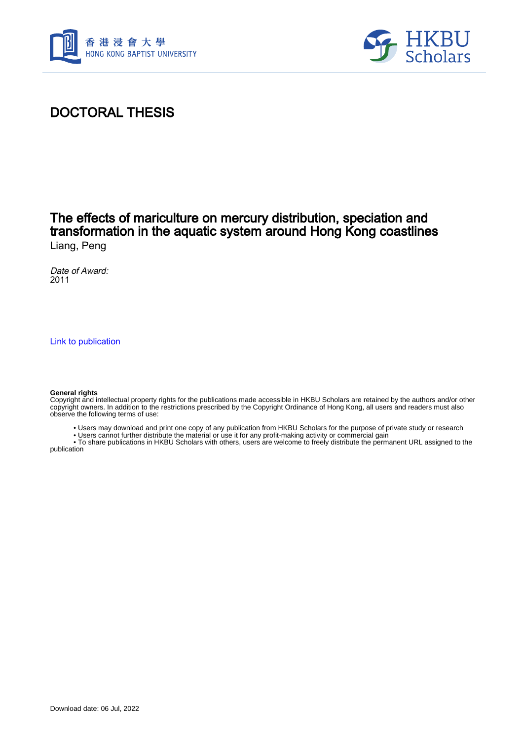



## DOCTORAL THESIS

### The effects of mariculture on mercury distribution, speciation and transformation in the aquatic system around Hong Kong coastlines Liang, Peng

Date of Award: 2011

[Link to publication](https://scholars.hkbu.edu.hk/en/studentTheses/8cf3a873-983d-4a24-962f-1dc060101235)

#### **General rights**

Copyright and intellectual property rights for the publications made accessible in HKBU Scholars are retained by the authors and/or other copyright owners. In addition to the restrictions prescribed by the Copyright Ordinance of Hong Kong, all users and readers must also observe the following terms of use:

- Users may download and print one copy of any publication from HKBU Scholars for the purpose of private study or research
- Users cannot further distribute the material or use it for any profit-making activity or commercial gain

 • To share publications in HKBU Scholars with others, users are welcome to freely distribute the permanent URL assigned to the publication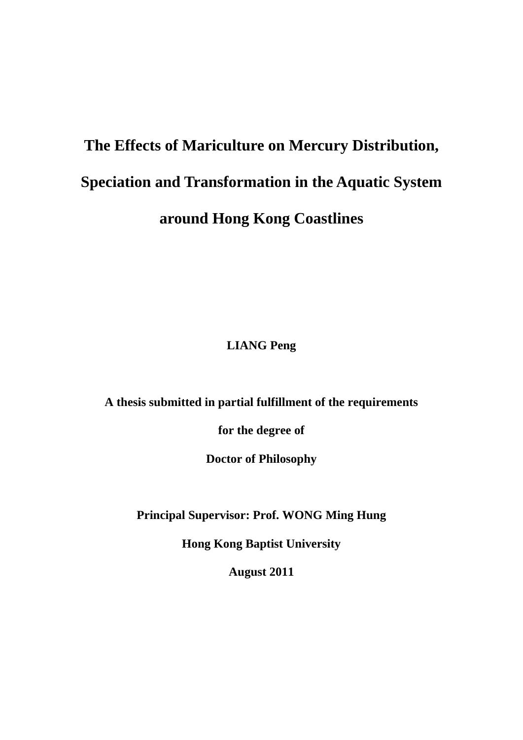# **The Effects of Mariculture on Mercury Distribution, Speciation and Transformation in the Aquatic System around Hong Kong Coastlines**

**LIANG Peng** 

**A thesis submitted in partial fulfillment of the requirements** 

**for the degree of** 

**Doctor of Philosophy** 

**Principal Supervisor: Prof. WONG Ming Hung** 

**Hong Kong Baptist University** 

**August 2011**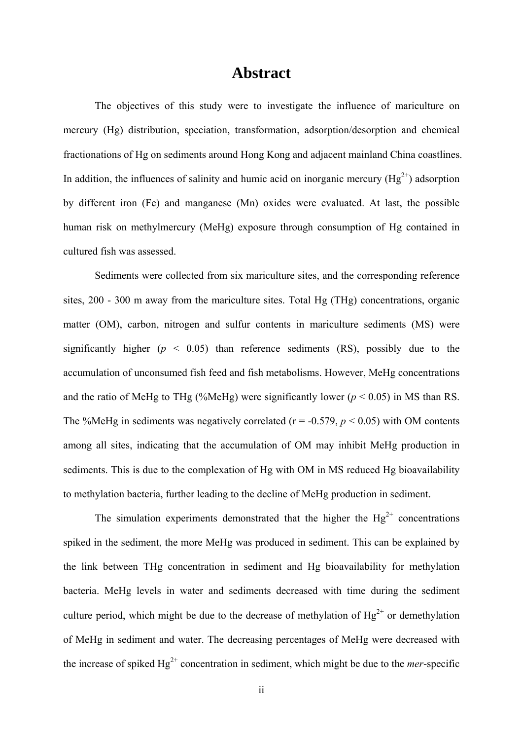### **Abstract**

The objectives of this study were to investigate the influence of mariculture on mercury (Hg) distribution, speciation, transformation, adsorption/desorption and chemical fractionations of Hg on sediments around Hong Kong and adjacent mainland China coastlines. In addition, the influences of salinity and humic acid on inorganic mercury  $(Hg^{2+})$  adsorption by different iron (Fe) and manganese (Mn) oxides were evaluated. At last, the possible human risk on methylmercury (MeHg) exposure through consumption of Hg contained in cultured fish was assessed.

Sediments were collected from six mariculture sites, and the corresponding reference sites, 200 - 300 m away from the mariculture sites. Total Hg (THg) concentrations, organic matter (OM), carbon, nitrogen and sulfur contents in mariculture sediments (MS) were significantly higher  $(p < 0.05)$  than reference sediments  $(RS)$ , possibly due to the accumulation of unconsumed fish feed and fish metabolisms. However, MeHg concentrations and the ratio of MeHg to THg (%MeHg) were significantly lower ( $p < 0.05$ ) in MS than RS. The %MeHg in sediments was negatively correlated ( $r = -0.579$ ,  $p < 0.05$ ) with OM contents among all sites, indicating that the accumulation of OM may inhibit MeHg production in sediments. This is due to the complexation of Hg with OM in MS reduced Hg bioavailability to methylation bacteria, further leading to the decline of MeHg production in sediment.

The simulation experiments demonstrated that the higher the  $Hg^{2+}$  concentrations spiked in the sediment, the more MeHg was produced in sediment. This can be explained by the link between THg concentration in sediment and Hg bioavailability for methylation bacteria. MeHg levels in water and sediments decreased with time during the sediment culture period, which might be due to the decrease of methylation of  $Hg^{2+}$  or demethylation of MeHg in sediment and water. The decreasing percentages of MeHg were decreased with the increase of spiked  $Hg^{2+}$  concentration in sediment, which might be due to the *mer*-specific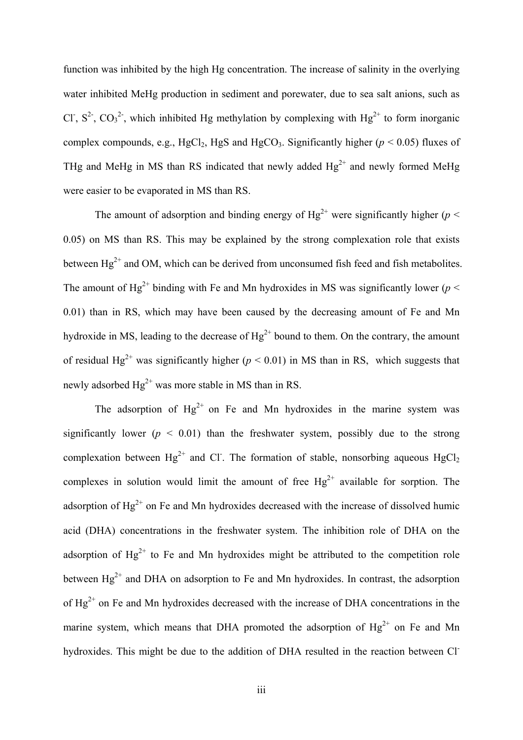function was inhibited by the high Hg concentration. The increase of salinity in the overlying water inhibited MeHg production in sediment and porewater, due to sea salt anions, such as Cl<sup>-</sup>,  $S^2$ ,  $CO_3^2$ <sup>-</sup>, which inhibited Hg methylation by complexing with Hg<sup>2+</sup> to form inorganic complex compounds, e.g., HgCl<sub>2</sub>, HgS and HgCO<sub>3</sub>. Significantly higher ( $p < 0.05$ ) fluxes of THg and MeHg in MS than RS indicated that newly added  $Hg^{2+}$  and newly formed MeHg were easier to be evaporated in MS than RS.

The amount of adsorption and binding energy of  $Hg^{2+}$  were significantly higher ( $p <$ 0.05) on MS than RS. This may be explained by the strong complexation role that exists between  $Hg^{2+}$  and OM, which can be derived from unconsumed fish feed and fish metabolites. The amount of Hg<sup>2+</sup> binding with Fe and Mn hydroxides in MS was significantly lower ( $p <$ 0.01) than in RS, which may have been caused by the decreasing amount of Fe and Mn hydroxide in MS, leading to the decrease of  $Hg^{2+}$  bound to them. On the contrary, the amount of residual Hg<sup>2+</sup> was significantly higher ( $p < 0.01$ ) in MS than in RS, which suggests that newly adsorbed  $Hg^{2+}$  was more stable in MS than in RS.

The adsorption of  $Hg^{2+}$  on Fe and Mn hydroxides in the marine system was significantly lower ( $p < 0.01$ ) than the freshwater system, possibly due to the strong complexation between  $Hg^{2+}$  and Cl. The formation of stable, nonsorbing aqueous  $HgCl_2$ complexes in solution would limit the amount of free  $Hg^{2+}$  available for sorption. The adsorption of  $Hg^{2+}$  on Fe and Mn hydroxides decreased with the increase of dissolved humic acid (DHA) concentrations in the freshwater system. The inhibition role of DHA on the adsorption of  $Hg^{2+}$  to Fe and Mn hydroxides might be attributed to the competition role between  $Hg^{2+}$  and DHA on adsorption to Fe and Mn hydroxides. In contrast, the adsorption of  $Hg^{2+}$  on Fe and Mn hydroxides decreased with the increase of DHA concentrations in the marine system, which means that DHA promoted the adsorption of  $Hg^{2+}$  on Fe and Mn hydroxides. This might be due to the addition of DHA resulted in the reaction between Cl-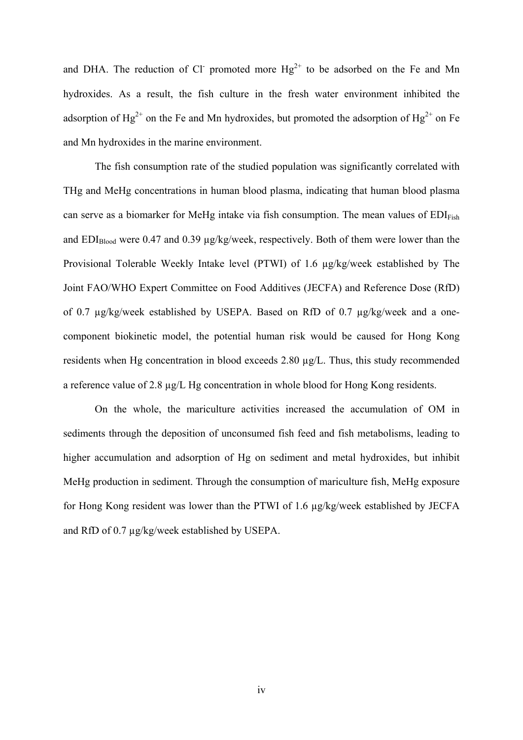and DHA. The reduction of Cl promoted more  $Hg^{2+}$  to be adsorbed on the Fe and Mn hydroxides. As a result, the fish culture in the fresh water environment inhibited the adsorption of Hg<sup>2+</sup> on the Fe and Mn hydroxides, but promoted the adsorption of Hg<sup>2+</sup> on Fe and Mn hydroxides in the marine environment.

The fish consumption rate of the studied population was significantly correlated with THg and MeHg concentrations in human blood plasma, indicating that human blood plasma can serve as a biomarker for MeHg intake via fish consumption. The mean values of  $EDI<sub>Fish</sub>$ and  $EDI<sub>Blood</sub>$  were 0.47 and 0.39  $\mu$ g/kg/week, respectively. Both of them were lower than the Provisional Tolerable Weekly Intake level (PTWI) of 1.6 µg/kg/week established by The Joint FAO/WHO Expert Committee on Food Additives (JECFA) and Reference Dose (RfD) of 0.7 µg/kg/week established by USEPA. Based on RfD of 0.7 µg/kg/week and a onecomponent biokinetic model, the potential human risk would be caused for Hong Kong residents when Hg concentration in blood exceeds 2.80 µg/L. Thus, this study recommended a reference value of 2.8 µg/L Hg concentration in whole blood for Hong Kong residents.

On the whole, the mariculture activities increased the accumulation of OM in sediments through the deposition of unconsumed fish feed and fish metabolisms, leading to higher accumulation and adsorption of Hg on sediment and metal hydroxides, but inhibit MeHg production in sediment. Through the consumption of mariculture fish, MeHg exposure for Hong Kong resident was lower than the PTWI of 1.6 µg/kg/week established by JECFA and RfD of 0.7 µg/kg/week established by USEPA.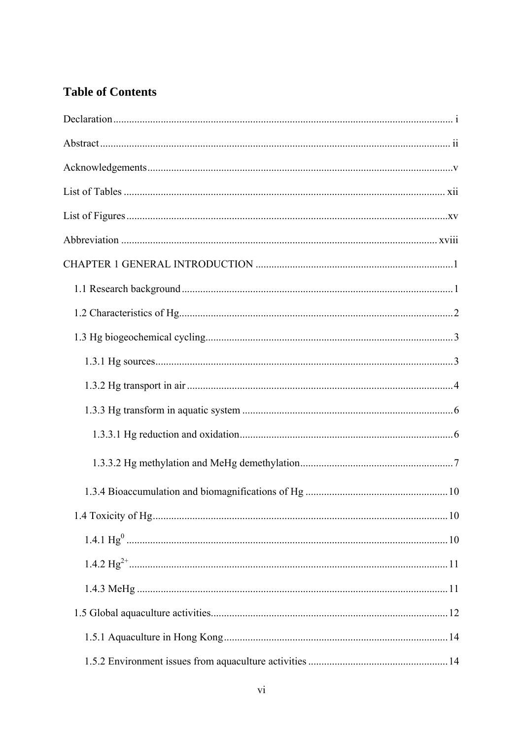### **Table of Contents**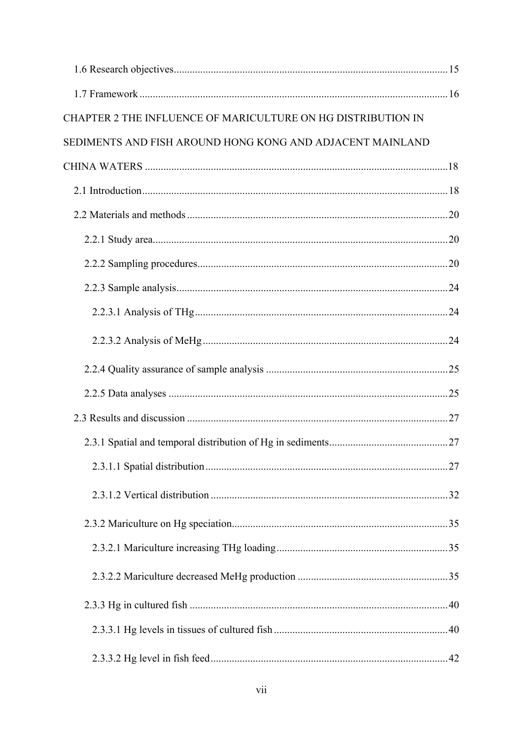| CHAPTER 2 THE INFLUENCE OF MARICULTURE ON HG DISTRIBUTION IN |  |
|--------------------------------------------------------------|--|
| SEDIMENTS AND FISH AROUND HONG KONG AND ADJACENT MAINLAND    |  |
|                                                              |  |
|                                                              |  |
|                                                              |  |
|                                                              |  |
|                                                              |  |
|                                                              |  |
|                                                              |  |
|                                                              |  |
|                                                              |  |
|                                                              |  |
|                                                              |  |
|                                                              |  |
|                                                              |  |
|                                                              |  |
|                                                              |  |
|                                                              |  |
|                                                              |  |
|                                                              |  |
|                                                              |  |
|                                                              |  |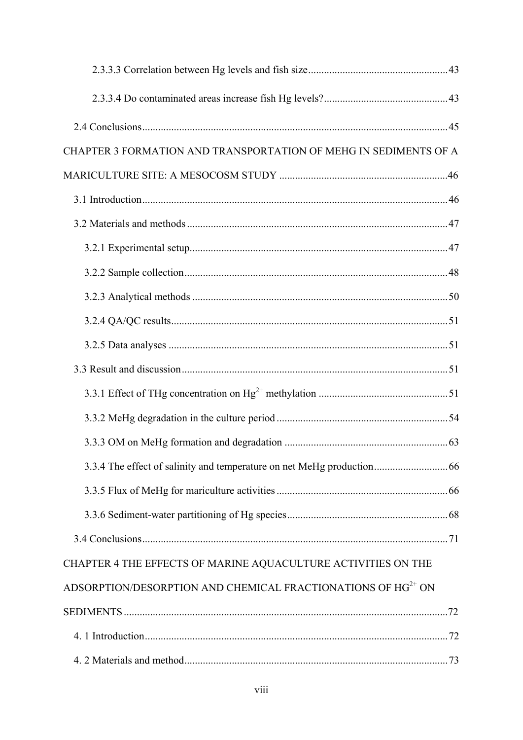| CHAPTER 3 FORMATION AND TRANSPORTATION OF MEHG IN SEDIMENTS OF A         |  |
|--------------------------------------------------------------------------|--|
|                                                                          |  |
|                                                                          |  |
|                                                                          |  |
|                                                                          |  |
|                                                                          |  |
|                                                                          |  |
|                                                                          |  |
|                                                                          |  |
|                                                                          |  |
|                                                                          |  |
|                                                                          |  |
|                                                                          |  |
|                                                                          |  |
|                                                                          |  |
|                                                                          |  |
|                                                                          |  |
| CHAPTER 4 THE EFFECTS OF MARINE AQUACULTURE ACTIVITIES ON THE            |  |
| ADSORPTION/DESORPTION AND CHEMICAL FRACTIONATIONS OF HG <sup>2+</sup> ON |  |
|                                                                          |  |
|                                                                          |  |
|                                                                          |  |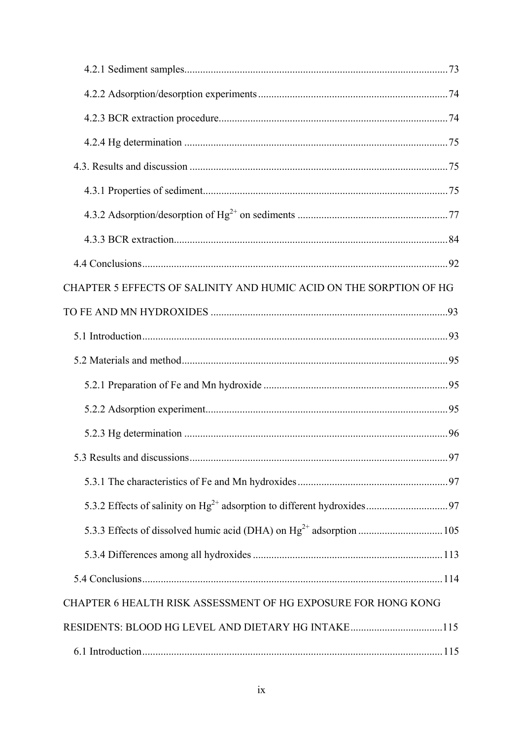| CHAPTER 5 EFFECTS OF SALINITY AND HUMIC ACID ON THE SORPTION OF HG |  |
|--------------------------------------------------------------------|--|
|                                                                    |  |
|                                                                    |  |
|                                                                    |  |
|                                                                    |  |
|                                                                    |  |
|                                                                    |  |
|                                                                    |  |
|                                                                    |  |
|                                                                    |  |
|                                                                    |  |
|                                                                    |  |
|                                                                    |  |
| CHAPTER 6 HEALTH RISK ASSESSMENT OF HG EXPOSURE FOR HONG KONG      |  |
| RESIDENTS: BLOOD HG LEVEL AND DIETARY HG INTAKE115                 |  |
|                                                                    |  |